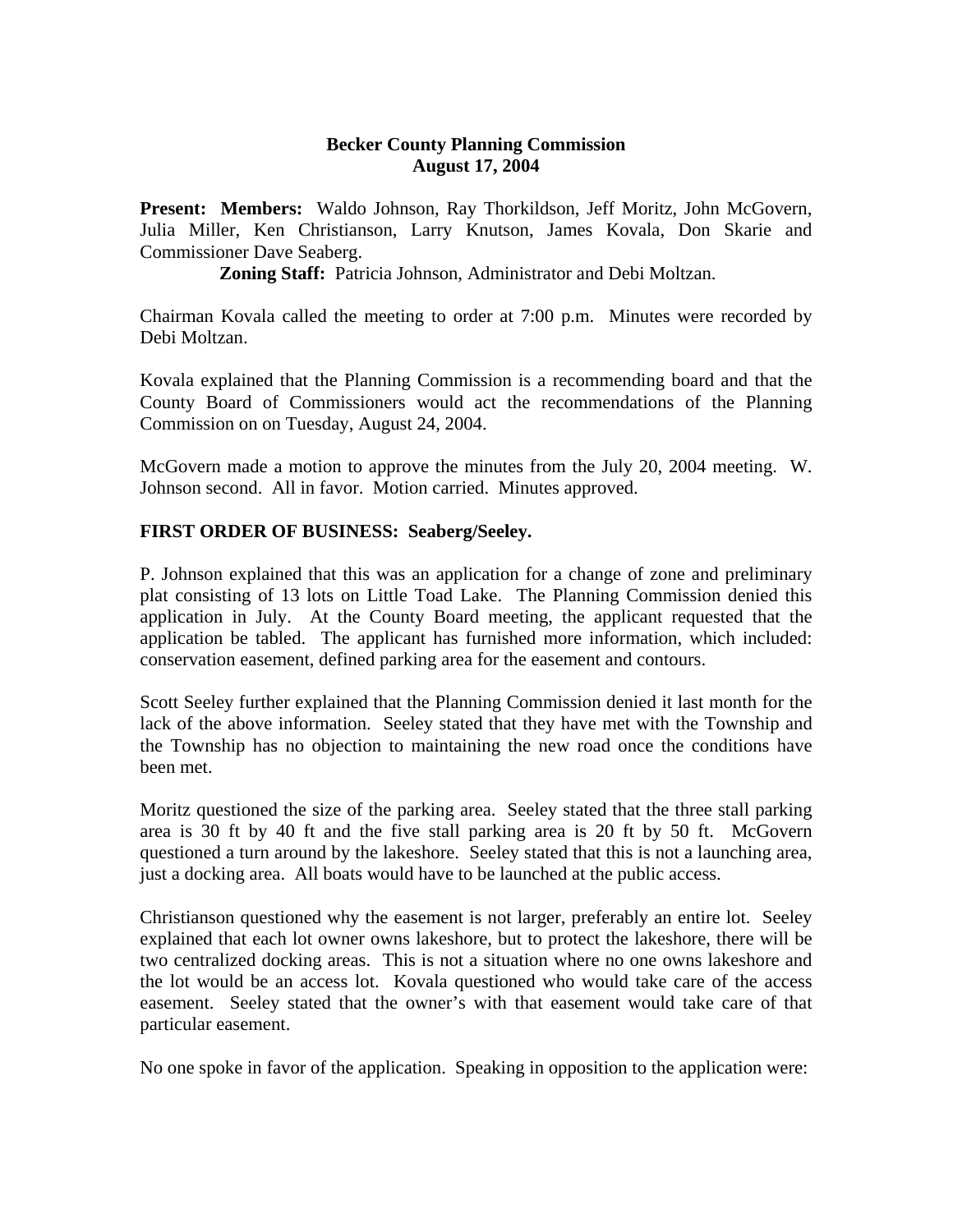### **Becker County Planning Commission August 17, 2004**

**Present: Members:** Waldo Johnson, Ray Thorkildson, Jeff Moritz, John McGovern, Julia Miller, Ken Christianson, Larry Knutson, James Kovala, Don Skarie and Commissioner Dave Seaberg.

**Zoning Staff:** Patricia Johnson, Administrator and Debi Moltzan.

Chairman Kovala called the meeting to order at 7:00 p.m. Minutes were recorded by Debi Moltzan.

Kovala explained that the Planning Commission is a recommending board and that the County Board of Commissioners would act the recommendations of the Planning Commission on on Tuesday, August 24, 2004.

McGovern made a motion to approve the minutes from the July 20, 2004 meeting. W. Johnson second. All in favor. Motion carried. Minutes approved.

# **FIRST ORDER OF BUSINESS: Seaberg/Seeley.**

P. Johnson explained that this was an application for a change of zone and preliminary plat consisting of 13 lots on Little Toad Lake. The Planning Commission denied this application in July. At the County Board meeting, the applicant requested that the application be tabled. The applicant has furnished more information, which included: conservation easement, defined parking area for the easement and contours.

Scott Seeley further explained that the Planning Commission denied it last month for the lack of the above information. Seeley stated that they have met with the Township and the Township has no objection to maintaining the new road once the conditions have been met.

Moritz questioned the size of the parking area. Seeley stated that the three stall parking area is 30 ft by 40 ft and the five stall parking area is 20 ft by 50 ft. McGovern questioned a turn around by the lakeshore. Seeley stated that this is not a launching area, just a docking area. All boats would have to be launched at the public access.

Christianson questioned why the easement is not larger, preferably an entire lot. Seeley explained that each lot owner owns lakeshore, but to protect the lakeshore, there will be two centralized docking areas. This is not a situation where no one owns lakeshore and the lot would be an access lot. Kovala questioned who would take care of the access easement. Seeley stated that the owner's with that easement would take care of that particular easement.

No one spoke in favor of the application. Speaking in opposition to the application were: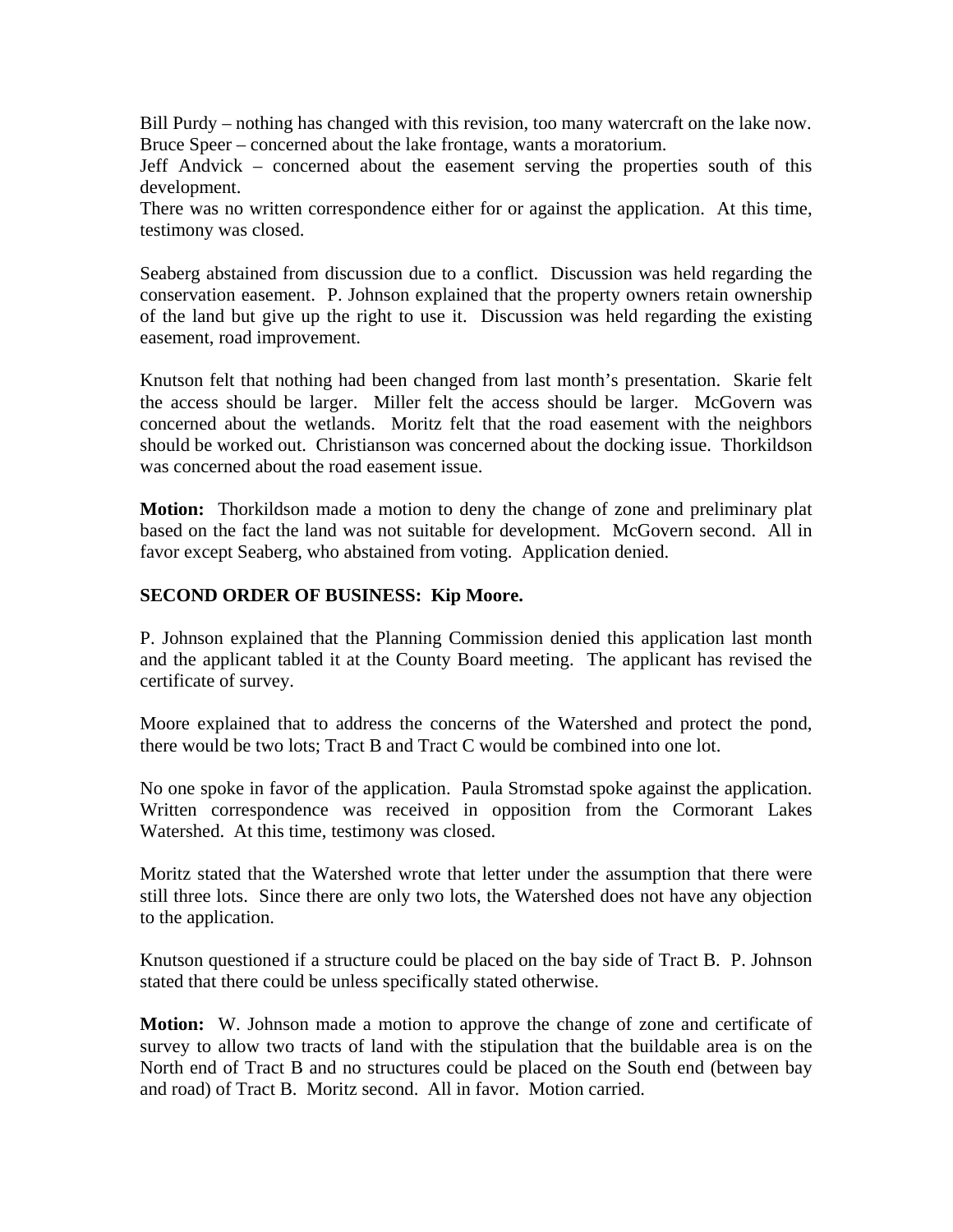Bill Purdy – nothing has changed with this revision, too many watercraft on the lake now. Bruce Speer – concerned about the lake frontage, wants a moratorium.

Jeff Andvick – concerned about the easement serving the properties south of this development.

There was no written correspondence either for or against the application. At this time, testimony was closed.

Seaberg abstained from discussion due to a conflict. Discussion was held regarding the conservation easement. P. Johnson explained that the property owners retain ownership of the land but give up the right to use it. Discussion was held regarding the existing easement, road improvement.

Knutson felt that nothing had been changed from last month's presentation. Skarie felt the access should be larger. Miller felt the access should be larger. McGovern was concerned about the wetlands. Moritz felt that the road easement with the neighbors should be worked out. Christianson was concerned about the docking issue. Thorkildson was concerned about the road easement issue.

**Motion:** Thorkildson made a motion to deny the change of zone and preliminary plat based on the fact the land was not suitable for development. McGovern second. All in favor except Seaberg, who abstained from voting. Application denied.

### **SECOND ORDER OF BUSINESS: Kip Moore.**

P. Johnson explained that the Planning Commission denied this application last month and the applicant tabled it at the County Board meeting. The applicant has revised the certificate of survey.

Moore explained that to address the concerns of the Watershed and protect the pond, there would be two lots; Tract B and Tract C would be combined into one lot.

No one spoke in favor of the application. Paula Stromstad spoke against the application. Written correspondence was received in opposition from the Cormorant Lakes Watershed. At this time, testimony was closed.

Moritz stated that the Watershed wrote that letter under the assumption that there were still three lots. Since there are only two lots, the Watershed does not have any objection to the application.

Knutson questioned if a structure could be placed on the bay side of Tract B. P. Johnson stated that there could be unless specifically stated otherwise.

**Motion:** W. Johnson made a motion to approve the change of zone and certificate of survey to allow two tracts of land with the stipulation that the buildable area is on the North end of Tract B and no structures could be placed on the South end (between bay and road) of Tract B. Moritz second. All in favor. Motion carried.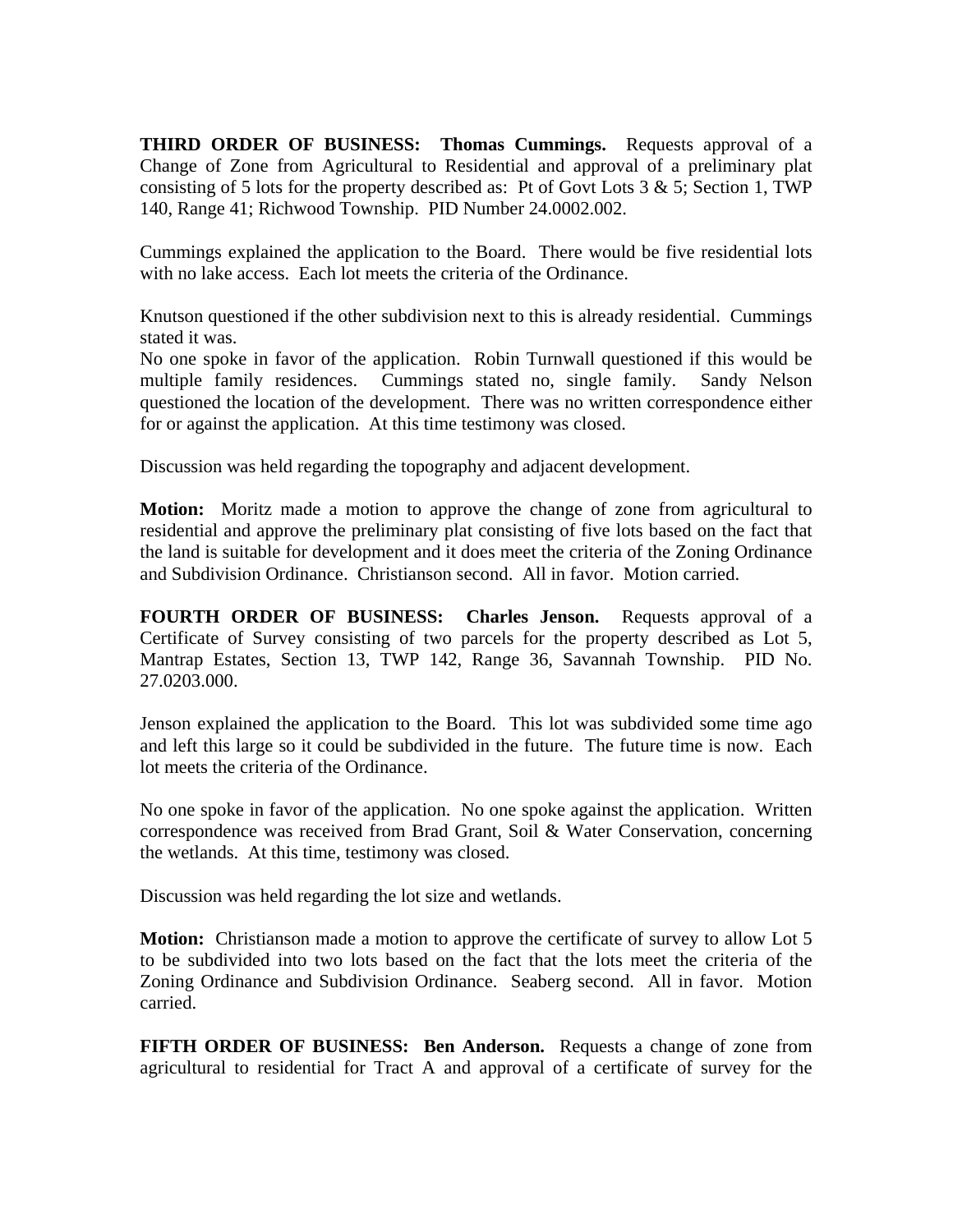**THIRD ORDER OF BUSINESS: Thomas Cummings.** Requests approval of a Change of Zone from Agricultural to Residential and approval of a preliminary plat consisting of 5 lots for the property described as: Pt of Govt Lots  $3 \& 5$ ; Section 1, TWP 140, Range 41; Richwood Township. PID Number 24.0002.002.

Cummings explained the application to the Board. There would be five residential lots with no lake access. Each lot meets the criteria of the Ordinance.

Knutson questioned if the other subdivision next to this is already residential. Cummings stated it was.

No one spoke in favor of the application. Robin Turnwall questioned if this would be multiple family residences. Cummings stated no, single family. Sandy Nelson questioned the location of the development. There was no written correspondence either for or against the application. At this time testimony was closed.

Discussion was held regarding the topography and adjacent development.

**Motion:** Moritz made a motion to approve the change of zone from agricultural to residential and approve the preliminary plat consisting of five lots based on the fact that the land is suitable for development and it does meet the criteria of the Zoning Ordinance and Subdivision Ordinance. Christianson second. All in favor. Motion carried.

**FOURTH ORDER OF BUSINESS: Charles Jenson.** Requests approval of a Certificate of Survey consisting of two parcels for the property described as Lot 5, Mantrap Estates, Section 13, TWP 142, Range 36, Savannah Township. PID No. 27.0203.000.

Jenson explained the application to the Board. This lot was subdivided some time ago and left this large so it could be subdivided in the future. The future time is now. Each lot meets the criteria of the Ordinance.

No one spoke in favor of the application. No one spoke against the application. Written correspondence was received from Brad Grant, Soil & Water Conservation, concerning the wetlands. At this time, testimony was closed.

Discussion was held regarding the lot size and wetlands.

**Motion:** Christianson made a motion to approve the certificate of survey to allow Lot 5 to be subdivided into two lots based on the fact that the lots meet the criteria of the Zoning Ordinance and Subdivision Ordinance. Seaberg second. All in favor. Motion carried.

**FIFTH ORDER OF BUSINESS: Ben Anderson.** Requests a change of zone from agricultural to residential for Tract A and approval of a certificate of survey for the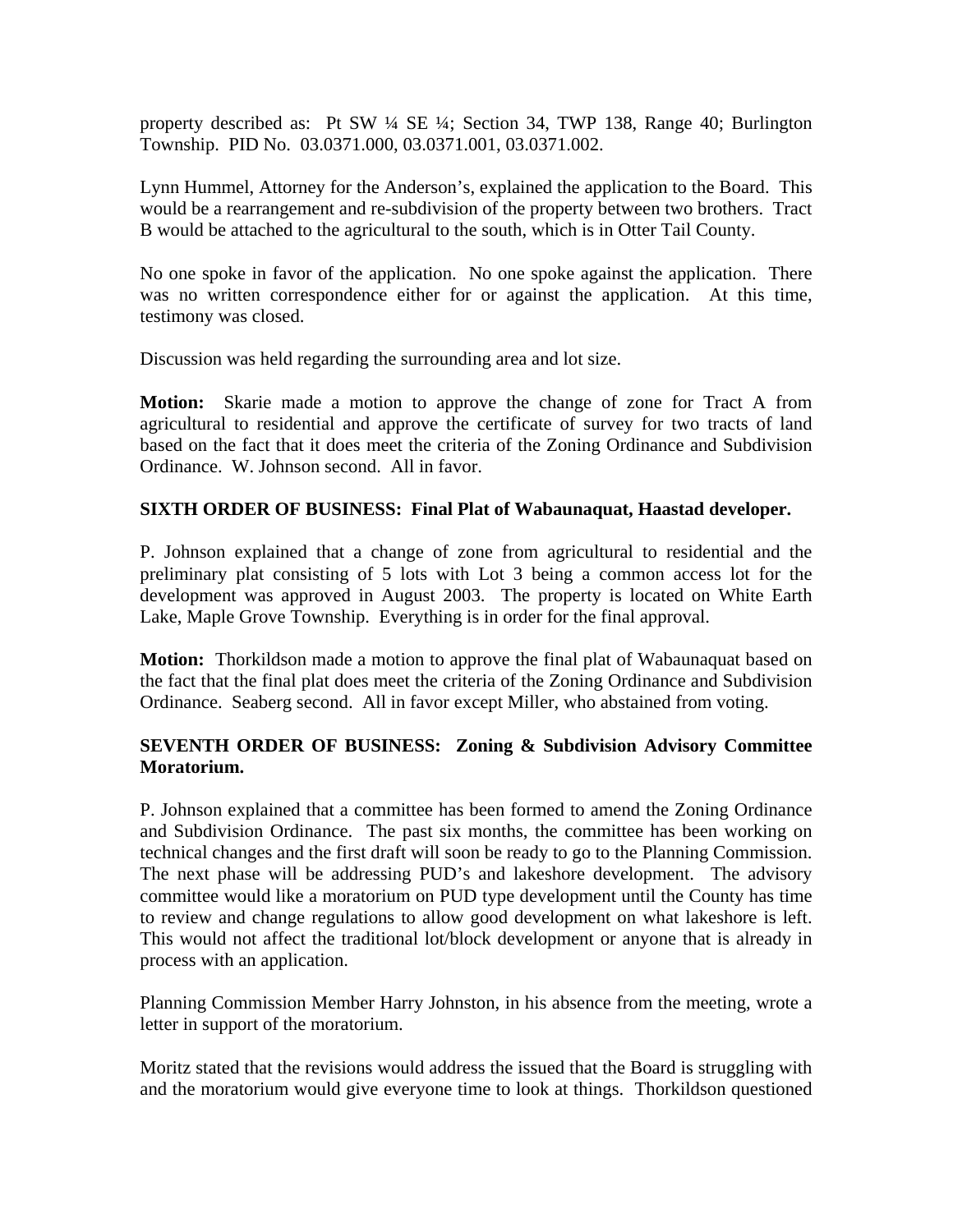property described as: Pt SW ¼ SE ¼; Section 34, TWP 138, Range 40; Burlington Township. PID No. 03.0371.000, 03.0371.001, 03.0371.002.

Lynn Hummel, Attorney for the Anderson's, explained the application to the Board. This would be a rearrangement and re-subdivision of the property between two brothers. Tract B would be attached to the agricultural to the south, which is in Otter Tail County.

No one spoke in favor of the application. No one spoke against the application. There was no written correspondence either for or against the application. At this time, testimony was closed.

Discussion was held regarding the surrounding area and lot size.

**Motion:** Skarie made a motion to approve the change of zone for Tract A from agricultural to residential and approve the certificate of survey for two tracts of land based on the fact that it does meet the criteria of the Zoning Ordinance and Subdivision Ordinance. W. Johnson second. All in favor.

# **SIXTH ORDER OF BUSINESS: Final Plat of Wabaunaquat, Haastad developer.**

P. Johnson explained that a change of zone from agricultural to residential and the preliminary plat consisting of 5 lots with Lot 3 being a common access lot for the development was approved in August 2003. The property is located on White Earth Lake, Maple Grove Township. Everything is in order for the final approval.

**Motion:** Thorkildson made a motion to approve the final plat of Wabaunaquat based on the fact that the final plat does meet the criteria of the Zoning Ordinance and Subdivision Ordinance. Seaberg second. All in favor except Miller, who abstained from voting.

# **SEVENTH ORDER OF BUSINESS: Zoning & Subdivision Advisory Committee Moratorium.**

P. Johnson explained that a committee has been formed to amend the Zoning Ordinance and Subdivision Ordinance. The past six months, the committee has been working on technical changes and the first draft will soon be ready to go to the Planning Commission. The next phase will be addressing PUD's and lakeshore development. The advisory committee would like a moratorium on PUD type development until the County has time to review and change regulations to allow good development on what lakeshore is left. This would not affect the traditional lot/block development or anyone that is already in process with an application.

Planning Commission Member Harry Johnston, in his absence from the meeting, wrote a letter in support of the moratorium.

Moritz stated that the revisions would address the issued that the Board is struggling with and the moratorium would give everyone time to look at things. Thorkildson questioned